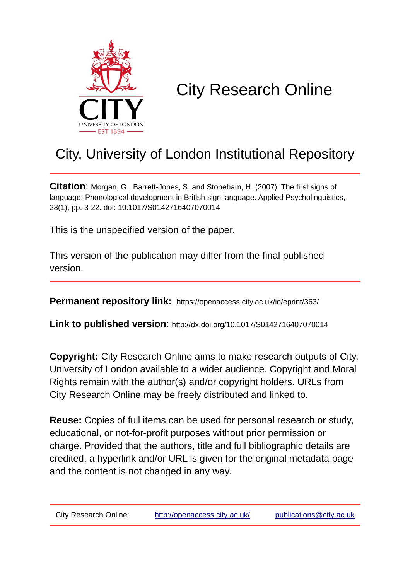

# City Research Online

# City, University of London Institutional Repository

**Citation**: Morgan, G., Barrett-Jones, S. and Stoneham, H. (2007). The first signs of language: Phonological development in British sign language. Applied Psycholinguistics, 28(1), pp. 3-22. doi: 10.1017/S0142716407070014

This is the unspecified version of the paper.

This version of the publication may differ from the final published version.

**Permanent repository link:** https://openaccess.city.ac.uk/id/eprint/363/

**Link to published version**: http://dx.doi.org/10.1017/S0142716407070014

**Copyright:** City Research Online aims to make research outputs of City, University of London available to a wider audience. Copyright and Moral Rights remain with the author(s) and/or copyright holders. URLs from City Research Online may be freely distributed and linked to.

**Reuse:** Copies of full items can be used for personal research or study, educational, or not-for-profit purposes without prior permission or charge. Provided that the authors, title and full bibliographic details are credited, a hyperlink and/or URL is given for the original metadata page and the content is not changed in any way.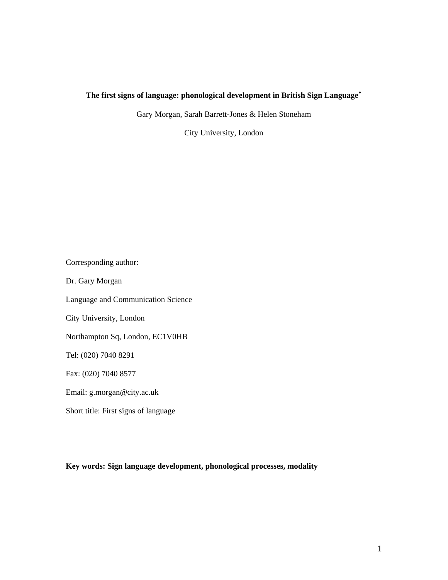## **The first signs of language: phonological development in British Sign Language**[∗](#page-41-0)

Gary Morgan, Sarah Barrett-Jones & Helen Stoneham

City University, London

Corresponding author: Dr. Gary Morgan Language and Communication Science City University, London Northampton Sq, London, EC1V0HB Tel: (020) 7040 8291 Fax: (020) 7040 8577 Email: g.morgan@city.ac.uk Short title: First signs of language

**Key words: Sign language development, phonological processes, modality**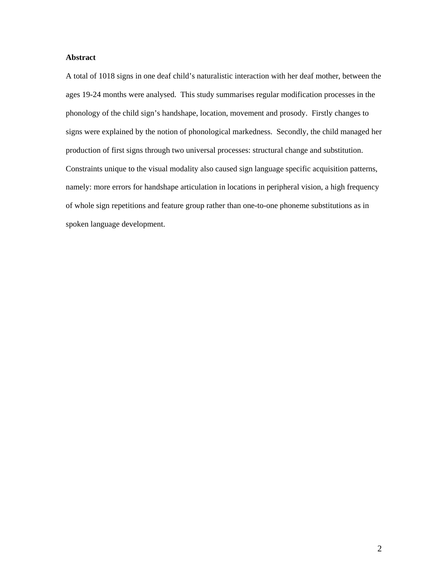## **Abstract**

A total of 1018 signs in one deaf child's naturalistic interaction with her deaf mother, between the ages 19-24 months were analysed. This study summarises regular modification processes in the phonology of the child sign's handshape, location, movement and prosody. Firstly changes to signs were explained by the notion of phonological markedness. Secondly, the child managed her production of first signs through two universal processes: structural change and substitution. Constraints unique to the visual modality also caused sign language specific acquisition patterns, namely: more errors for handshape articulation in locations in peripheral vision, a high frequency of whole sign repetitions and feature group rather than one-to-one phoneme substitutions as in spoken language development.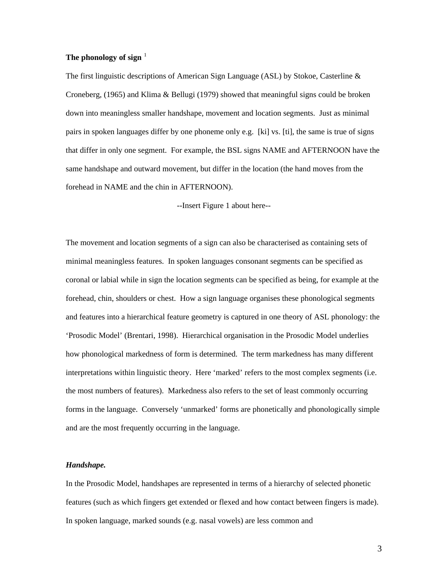## **The phonology of sign** [1](#page-41-1)

The first linguistic descriptions of American Sign Language (ASL) by Stokoe, Casterline & Croneberg, (1965) and Klima & Bellugi (1979) showed that meaningful signs could be broken down into meaningless smaller handshape, movement and location segments. Just as minimal pairs in spoken languages differ by one phoneme only e.g. [ki] vs. [ti], the same is true of signs that differ in only one segment. For example, the BSL signs NAME and AFTERNOON have the same handshape and outward movement, but differ in the location (the hand moves from the forehead in NAME and the chin in AFTERNOON).

--Insert Figure 1 about here--

The movement and location segments of a sign can also be characterised as containing sets of minimal meaningless features. In spoken languages consonant segments can be specified as coronal or labial while in sign the location segments can be specified as being, for example at the forehead, chin, shoulders or chest. How a sign language organises these phonological segments and features into a hierarchical feature geometry is captured in one theory of ASL phonology: the 'Prosodic Model' (Brentari, 1998). Hierarchical organisation in the Prosodic Model underlies how phonological markedness of form is determined. The term markedness has many different interpretations within linguistic theory. Here 'marked' refers to the most complex segments (i.e. the most numbers of features). Markedness also refers to the set of least commonly occurring forms in the language. Conversely 'unmarked' forms are phonetically and phonologically simple and are the most frequently occurring in the language.

#### *Handshape.*

In the Prosodic Model, handshapes are represented in terms of a hierarchy of selected phonetic features (such as which fingers get extended or flexed and how contact between fingers is made). In spoken language, marked sounds (e.g. nasal vowels) are less common and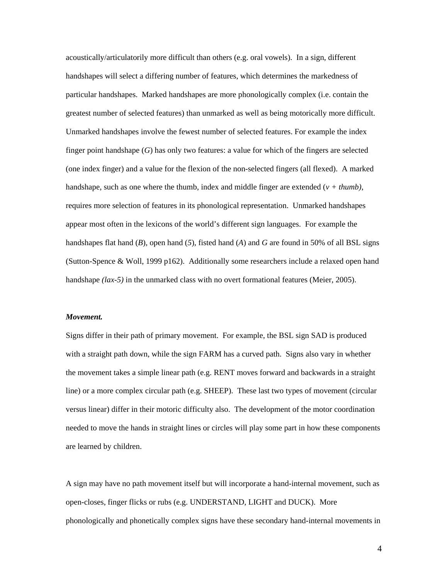acoustically/articulatorily more difficult than others (e.g. oral vowels). In a sign, different handshapes will select a differing number of features, which determines the markedness of particular handshapes. Marked handshapes are more phonologically complex (i.e. contain the greatest number of selected features) than unmarked as well as being motorically more difficult. Unmarked handshapes involve the fewest number of selected features. For example the index finger point handshape (*G*) has only two features: a value for which of the fingers are selected (one index finger) and a value for the flexion of the non-selected fingers (all flexed). A marked handshape, such as one where the thumb, index and middle finger are extended (*v + thumb)*, requires more selection of features in its phonological representation. Unmarked handshapes appear most often in the lexicons of the world's different sign languages. For example the handshapes flat hand (*B*)*,* open hand (*5*)*,* fisted hand (*A*) and *G* are found in 50% of all BSL signs (Sutton-Spence & Woll, 1999 p162). Additionally some researchers include a relaxed open hand handshape *(lax-5)* in the unmarked class with no overt formational features (Meier, 2005).

#### *Movement.*

Signs differ in their path of primary movement. For example, the BSL sign SAD is produced with a straight path down, while the sign FARM has a curved path. Signs also vary in whether the movement takes a simple linear path (e.g. RENT moves forward and backwards in a straight line) or a more complex circular path (e.g. SHEEP). These last two types of movement (circular versus linear) differ in their motoric difficulty also. The development of the motor coordination needed to move the hands in straight lines or circles will play some part in how these components are learned by children.

A sign may have no path movement itself but will incorporate a hand-internal movement, such as open-closes, finger flicks or rubs (e.g. UNDERSTAND, LIGHT and DUCK). More phonologically and phonetically complex signs have these secondary hand-internal movements in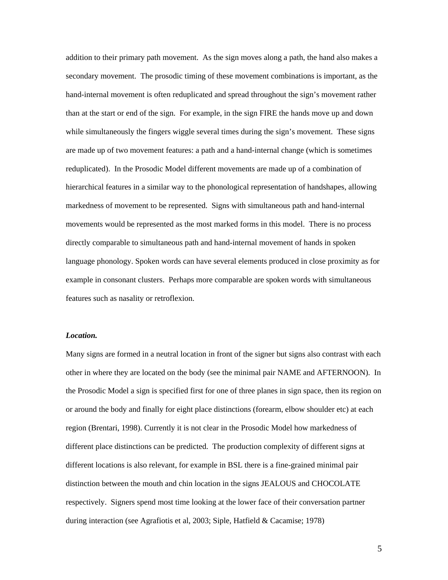addition to their primary path movement. As the sign moves along a path, the hand also makes a secondary movement. The prosodic timing of these movement combinations is important, as the hand-internal movement is often reduplicated and spread throughout the sign's movement rather than at the start or end of the sign. For example, in the sign FIRE the hands move up and down while simultaneously the fingers wiggle several times during the sign's movement. These signs are made up of two movement features: a path and a hand-internal change (which is sometimes reduplicated). In the Prosodic Model different movements are made up of a combination of hierarchical features in a similar way to the phonological representation of handshapes, allowing markedness of movement to be represented. Signs with simultaneous path and hand-internal movements would be represented as the most marked forms in this model. There is no process directly comparable to simultaneous path and hand-internal movement of hands in spoken language phonology. Spoken words can have several elements produced in close proximity as for example in consonant clusters. Perhaps more comparable are spoken words with simultaneous features such as nasality or retroflexion.

#### *Location.*

Many signs are formed in a neutral location in front of the signer but signs also contrast with each other in where they are located on the body (see the minimal pair NAME and AFTERNOON). In the Prosodic Model a sign is specified first for one of three planes in sign space, then its region on or around the body and finally for eight place distinctions (forearm, elbow shoulder etc) at each region (Brentari, 1998). Currently it is not clear in the Prosodic Model how markedness of different place distinctions can be predicted. The production complexity of different signs at different locations is also relevant, for example in BSL there is a fine-grained minimal pair distinction between the mouth and chin location in the signs JEALOUS and CHOCOLATE respectively. Signers spend most time looking at the lower face of their conversation partner during interaction (see Agrafiotis et al, 2003; Siple, Hatfield & Cacamise; 1978)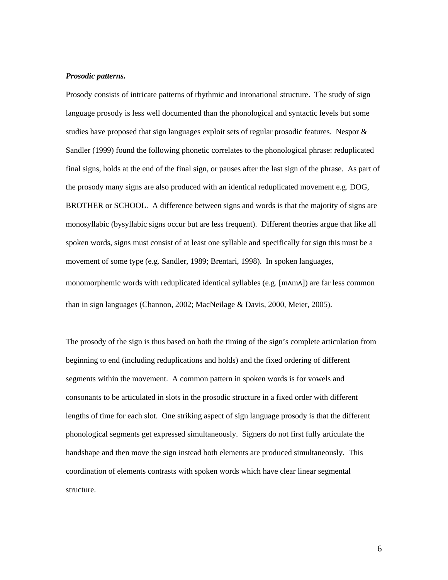## *Prosodic patterns.*

Prosody consists of intricate patterns of rhythmic and intonational structure. The study of sign language prosody is less well documented than the phonological and syntactic levels but some studies have proposed that sign languages exploit sets of regular prosodic features. Nespor & Sandler (1999) found the following phonetic correlates to the phonological phrase: reduplicated final signs, holds at the end of the final sign, or pauses after the last sign of the phrase. As part of the prosody many signs are also produced with an identical reduplicated movement e.g. DOG, BROTHER or SCHOOL. A difference between signs and words is that the majority of signs are monosyllabic (bysyllabic signs occur but are less frequent). Different theories argue that like all spoken words, signs must consist of at least one syllable and specifically for sign this must be a movement of some type (e.g. Sandler, 1989; Brentari, 1998). In spoken languages, monomorphemic words with reduplicated identical syllables (e.g. [m $\Lambda$ m $\Lambda$ ]) are far less common than in sign languages (Channon, 2002; MacNeilage & Davis, 2000, Meier, 2005).

The prosody of the sign is thus based on both the timing of the sign's complete articulation from beginning to end (including reduplications and holds) and the fixed ordering of different segments within the movement. A common pattern in spoken words is for vowels and consonants to be articulated in slots in the prosodic structure in a fixed order with different lengths of time for each slot. One striking aspect of sign language prosody is that the different phonological segments get expressed simultaneously. Signers do not first fully articulate the handshape and then move the sign instead both elements are produced simultaneously. This coordination of elements contrasts with spoken words which have clear linear segmental structure.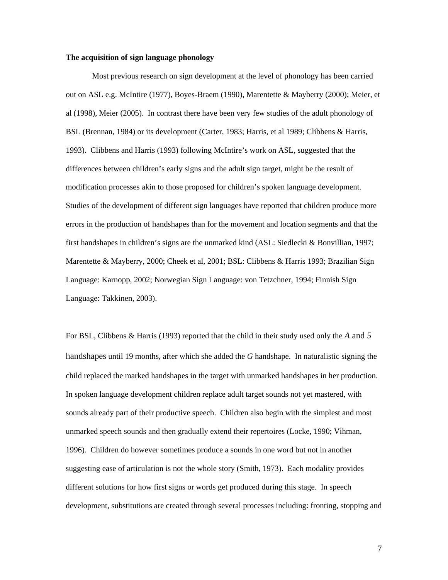#### **The acquisition of sign language phonology**

Most previous research on sign development at the level of phonology has been carried out on ASL e.g. McIntire (1977), Boyes-Braem (1990), Marentette & Mayberry (2000); Meier, et al (1998), Meier (2005). In contrast there have been very few studies of the adult phonology of BSL (Brennan, 1984) or its development (Carter, 1983; Harris, et al 1989; Clibbens & Harris, 1993). Clibbens and Harris (1993) following McIntire's work on ASL, suggested that the differences between children's early signs and the adult sign target, might be the result of modification processes akin to those proposed for children's spoken language development. Studies of the development of different sign languages have reported that children produce more errors in the production of handshapes than for the movement and location segments and that the first handshapes in children's signs are the unmarked kind (ASL: Siedlecki & Bonvillian, 1997; Marentette & Mayberry, 2000; Cheek et al, 2001; BSL: Clibbens & Harris 1993; Brazilian Sign Language: Karnopp, 2002; Norwegian Sign Language: von Tetzchner, 1994; Finnish Sign Language: Takkinen, 2003).

For BSL, Clibbens & Harris (1993) reported that the child in their study used only the *A* and *5* handshapes until 19 months, after which she added the *G* handshape. In naturalistic signing the child replaced the marked handshapes in the target with unmarked handshapes in her production. In spoken language development children replace adult target sounds not yet mastered, with sounds already part of their productive speech. Children also begin with the simplest and most unmarked speech sounds and then gradually extend their repertoires (Locke, 1990; Vihman, 1996). Children do however sometimes produce a sounds in one word but not in another suggesting ease of articulation is not the whole story (Smith, 1973). Each modality provides different solutions for how first signs or words get produced during this stage. In speech development, substitutions are created through several processes including: fronting, stopping and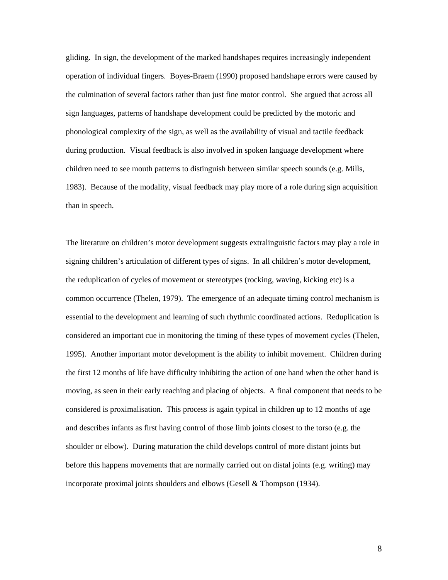gliding. In sign, the development of the marked handshapes requires increasingly independent operation of individual fingers. Boyes-Braem (1990) proposed handshape errors were caused by the culmination of several factors rather than just fine motor control. She argued that across all sign languages, patterns of handshape development could be predicted by the motoric and phonological complexity of the sign, as well as the availability of visual and tactile feedback during production. Visual feedback is also involved in spoken language development where children need to see mouth patterns to distinguish between similar speech sounds (e.g. Mills, 1983). Because of the modality, visual feedback may play more of a role during sign acquisition than in speech.

The literature on children's motor development suggests extralinguistic factors may play a role in signing children's articulation of different types of signs. In all children's motor development, the reduplication of cycles of movement or stereotypes (rocking, waving, kicking etc) is a common occurrence (Thelen, 1979). The emergence of an adequate timing control mechanism is essential to the development and learning of such rhythmic coordinated actions. Reduplication is considered an important cue in monitoring the timing of these types of movement cycles (Thelen, 1995). Another important motor development is the ability to inhibit movement. Children during the first 12 months of life have difficulty inhibiting the action of one hand when the other hand is moving, as seen in their early reaching and placing of objects. A final component that needs to be considered is proximalisation. This process is again typical in children up to 12 months of age and describes infants as first having control of those limb joints closest to the torso (e.g. the shoulder or elbow). During maturation the child develops control of more distant joints but before this happens movements that are normally carried out on distal joints (e.g. writing) may incorporate proximal joints shoulders and elbows (Gesell & Thompson (1934).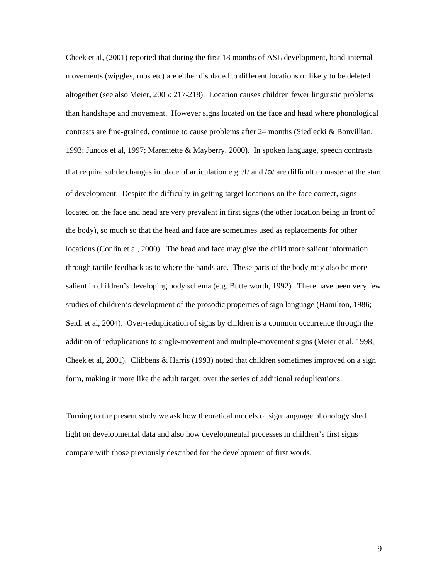Cheek et al, (2001) reported that during the first 18 months of ASL development, hand-internal movements (wiggles, rubs etc) are either displaced to different locations or likely to be deleted altogether (see also Meier, 2005: 217-218). Location causes children fewer linguistic problems than handshape and movement. However signs located on the face and head where phonological contrasts are fine-grained, continue to cause problems after 24 months (Siedlecki & Bonvillian, 1993; Juncos et al, 1997; Marentette & Mayberry, 2000). In spoken language, speech contrasts that require subtle changes in place of articulation e.g.  $/f$  and  $/\Theta$  are difficult to master at the start of development. Despite the difficulty in getting target locations on the face correct, signs located on the face and head are very prevalent in first signs (the other location being in front of the body), so much so that the head and face are sometimes used as replacements for other locations (Conlin et al, 2000). The head and face may give the child more salient information through tactile feedback as to where the hands are. These parts of the body may also be more salient in children's developing body schema (e.g. Butterworth, 1992). There have been very few studies of children's development of the prosodic properties of sign language (Hamilton, 1986; Seidl et al, 2004). Over-reduplication of signs by children is a common occurrence through the addition of reduplications to single-movement and multiple-movement signs (Meier et al, 1998; Cheek et al, 2001). Clibbens & Harris (1993) noted that children sometimes improved on a sign form, making it more like the adult target, over the series of additional reduplications.

Turning to the present study we ask how theoretical models of sign language phonology shed light on developmental data and also how developmental processes in children's first signs compare with those previously described for the development of first words.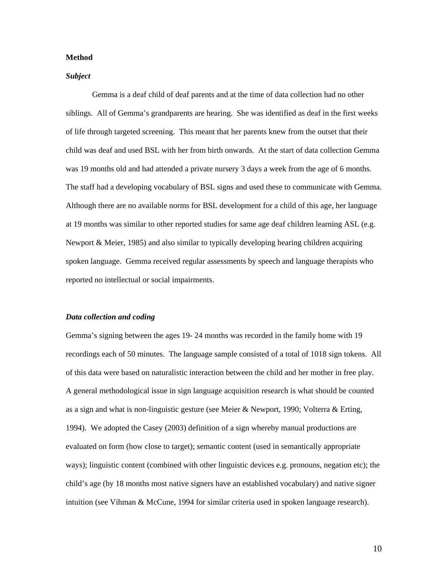#### **Method**

#### *Subject*

Gemma is a deaf child of deaf parents and at the time of data collection had no other siblings. All of Gemma's grandparents are hearing. She was identified as deaf in the first weeks of life through targeted screening. This meant that her parents knew from the outset that their child was deaf and used BSL with her from birth onwards. At the start of data collection Gemma was 19 months old and had attended a private nursery 3 days a week from the age of 6 months. The staff had a developing vocabulary of BSL signs and used these to communicate with Gemma. Although there are no available norms for BSL development for a child of this age, her language at 19 months was similar to other reported studies for same age deaf children learning ASL (e.g. Newport & Meier, 1985) and also similar to typically developing hearing children acquiring spoken language. Gemma received regular assessments by speech and language therapists who reported no intellectual or social impairments.

#### *Data collection and coding*

Gemma's signing between the ages 19- 24 months was recorded in the family home with 19 recordings each of 50 minutes. The language sample consisted of a total of 1018 sign tokens. All of this data were based on naturalistic interaction between the child and her mother in free play. A general methodological issue in sign language acquisition research is what should be counted as a sign and what is non-linguistic gesture (see Meier & Newport, 1990; Volterra & Erting, 1994). We adopted the Casey (2003) definition of a sign whereby manual productions are evaluated on form (how close to target); semantic content (used in semantically appropriate ways); linguistic content (combined with other linguistic devices e.g. pronouns, negation etc); the child's age (by 18 months most native signers have an established vocabulary) and native signer intuition (see Vihman & McCune, 1994 for similar criteria used in spoken language research).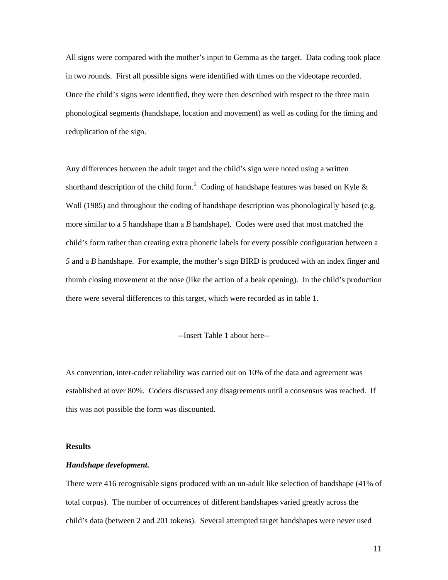All signs were compared with the mother's input to Gemma as the target. Data coding took place in two rounds. First all possible signs were identified with times on the videotape recorded. Once the child's signs were identified, they were then described with respect to the three main phonological segments (handshape, location and movement) as well as coding for the timing and reduplication of the sign.

Any differences between the adult target and the child's sign were noted using a written shorthand description of the child form.<sup>[2](#page-41-1)</sup> Coding of handshape features was based on Kyle  $\&$ Woll (1985) and throughout the coding of handshape description was phonologically based (e.g. more similar to a *5* handshape than a *B* handshape). Codes were used that most matched the child's form rather than creating extra phonetic labels for every possible configuration between a *5* and a *B* handshape. For example, the mother's sign BIRD is produced with an index finger and thumb closing movement at the nose (like the action of a beak opening). In the child's production there were several differences to this target, which were recorded as in table 1.

--Insert Table 1 about here--

As convention, inter-coder reliability was carried out on 10% of the data and agreement was established at over 80%. Coders discussed any disagreements until a consensus was reached. If this was not possible the form was discounted.

## **Results**

#### *Handshape development.*

There were 416 recognisable signs produced with an un-adult like selection of handshape (41% of total corpus). The number of occurrences of different handshapes varied greatly across the child's data (between 2 and 201 tokens). Several attempted target handshapes were never used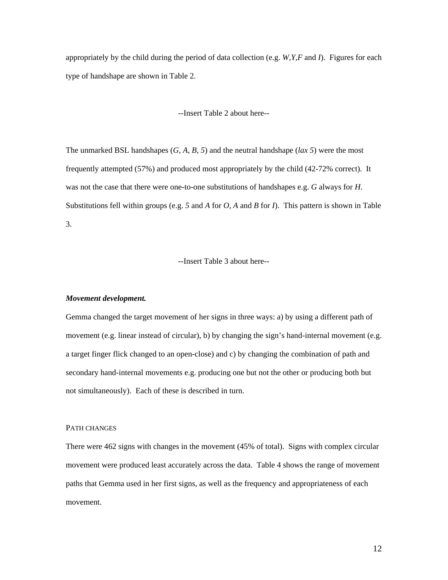appropriately by the child during the period of data collection (e.g. *W,Y,F* and *I*). Figures for each type of handshape are shown in Table 2.

## --Insert Table 2 about here--

The unmarked BSL handshapes (*G, A, B, 5*) and the neutral handshape (*lax 5*) were the most frequently attempted (57%) and produced most appropriately by the child (42-72% correct). It was not the case that there were one-to-one substitutions of handshapes e.g. *G* always for *H*. Substitutions fell within groups (e.g. *5* and *A* for *O, A* and *B* for *I*). This pattern is shown in Table 3.

--Insert Table 3 about here--

## *Movement development.*

Gemma changed the target movement of her signs in three ways: a) by using a different path of movement (e.g. linear instead of circular), b) by changing the sign's hand-internal movement (e.g. a target finger flick changed to an open-close) and c) by changing the combination of path and secondary hand-internal movements e.g. producing one but not the other or producing both but not simultaneously). Each of these is described in turn.

## PATH CHANGES

There were 462 signs with changes in the movement (45% of total). Signs with complex circular movement were produced least accurately across the data. Table 4 shows the range of movement paths that Gemma used in her first signs, as well as the frequency and appropriateness of each movement.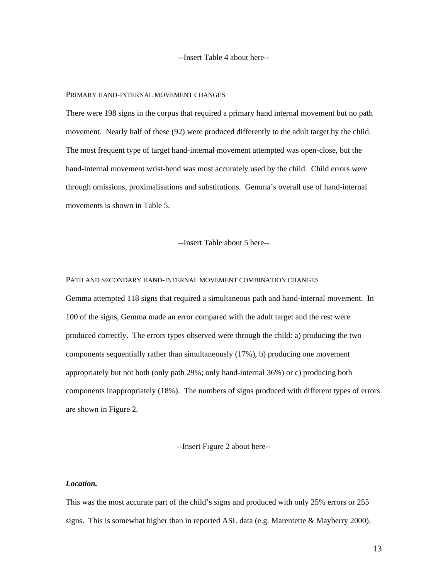--Insert Table 4 about here--

#### PRIMARY HAND-INTERNAL MOVEMENT CHANGES

There were 198 signs in the corpus that required a primary hand internal movement but no path movement. Nearly half of these (92) were produced differently to the adult target by the child. The most frequent type of target hand-internal movement attempted was open-close, but the hand-internal movement wrist-bend was most accurately used by the child. Child errors were through omissions, proximalisations and substitutions. Gemma's overall use of hand-internal movements is shown in Table 5.

--Insert Table about 5 here--

## PATH AND SECONDARY HAND-INTERNAL MOVEMENT COMBINATION CHANGES

Gemma attempted 118 signs that required a simultaneous path and hand-internal movement. In 100 of the signs, Gemma made an error compared with the adult target and the rest were produced correctly. The errors types observed were through the child: a) producing the two components sequentially rather than simultaneously (17%), b) producing one movement appropriately but not both (only path 29%; only hand-internal 36%) or c) producing both components inappropriately (18%). The numbers of signs produced with different types of errors are shown in Figure 2.

--Insert Figure 2 about here--

## *Location.*

This was the most accurate part of the child's signs and produced with only 25% errors or 255 signs. This is somewhat higher than in reported ASL data (e.g. Marentette & Mayberry 2000).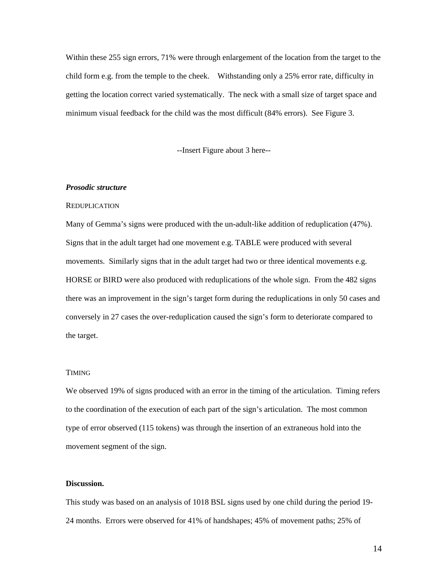Within these 255 sign errors, 71% were through enlargement of the location from the target to the child form e.g. from the temple to the cheek. Withstanding only a 25% error rate, difficulty in getting the location correct varied systematically. The neck with a small size of target space and minimum visual feedback for the child was the most difficult (84% errors). See Figure 3.

--Insert Figure about 3 here--

#### *Prosodic structure*

#### **REDUPLICATION**

Many of Gemma's signs were produced with the un-adult-like addition of reduplication (47%). Signs that in the adult target had one movement e.g. TABLE were produced with several movements. Similarly signs that in the adult target had two or three identical movements e.g. HORSE or BIRD were also produced with reduplications of the whole sign. From the 482 signs there was an improvement in the sign's target form during the reduplications in only 50 cases and conversely in 27 cases the over-reduplication caused the sign's form to deteriorate compared to the target.

## TIMING

We observed 19% of signs produced with an error in the timing of the articulation. Timing refers to the coordination of the execution of each part of the sign's articulation. The most common type of error observed (115 tokens) was through the insertion of an extraneous hold into the movement segment of the sign.

#### **Discussion.**

This study was based on an analysis of 1018 BSL signs used by one child during the period 19- 24 months. Errors were observed for 41% of handshapes; 45% of movement paths; 25% of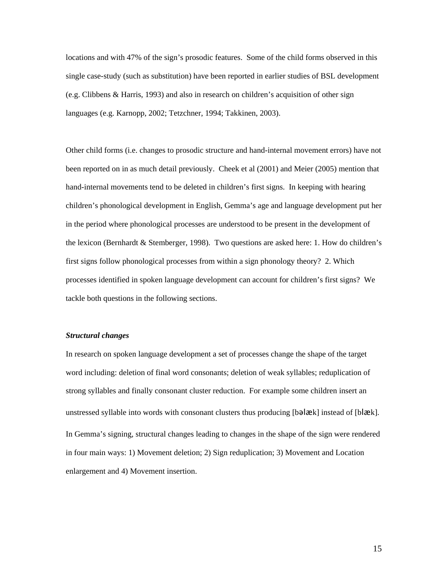locations and with 47% of the sign's prosodic features. Some of the child forms observed in this single case-study (such as substitution) have been reported in earlier studies of BSL development (e.g. Clibbens & Harris, 1993) and also in research on children's acquisition of other sign languages (e.g. Karnopp, 2002; Tetzchner, 1994; Takkinen, 2003).

Other child forms (i.e. changes to prosodic structure and hand-internal movement errors) have not been reported on in as much detail previously. Cheek et al (2001) and Meier (2005) mention that hand-internal movements tend to be deleted in children's first signs. In keeping with hearing children's phonological development in English, Gemma's age and language development put her in the period where phonological processes are understood to be present in the development of the lexicon (Bernhardt & Stemberger, 1998). Two questions are asked here: 1. How do children's first signs follow phonological processes from within a sign phonology theory? 2. Which processes identified in spoken language development can account for children's first signs? We tackle both questions in the following sections.

#### *Structural changes*

In research on spoken language development a set of processes change the shape of the target word including: deletion of final word consonants; deletion of weak syllables; reduplication of strong syllables and finally consonant cluster reduction. For example some children insert an unstressed syllable into words with consonant clusters thus producing [b**əlæk**] instead of [bl**æk**]. In Gemma's signing, structural changes leading to changes in the shape of the sign were rendered in four main ways: 1) Movement deletion; 2) Sign reduplication; 3) Movement and Location enlargement and 4) Movement insertion.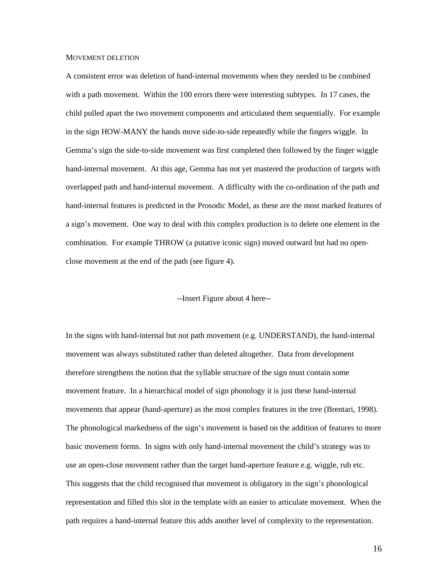#### MOVEMENT DELETION

A consistent error was deletion of hand-internal movements when they needed to be combined with a path movement. Within the 100 errors there were interesting subtypes. In 17 cases, the child pulled apart the two movement components and articulated them sequentially. For example in the sign HOW-MANY the hands move side-to-side repeatedly while the fingers wiggle. In Gemma's sign the side-to-side movement was first completed then followed by the finger wiggle hand-internal movement. At this age, Gemma has not yet mastered the production of targets with overlapped path and hand-internal movement. A difficulty with the co-ordination of the path and hand-internal features is predicted in the Prosodic Model, as these are the most marked features of a sign's movement. One way to deal with this complex production is to delete one element in the combination. For example THROW (a putative iconic sign) moved outward but had no openclose movement at the end of the path (see figure 4).

## --Insert Figure about 4 here--

In the signs with hand-internal but not path movement (e.g. UNDERSTAND), the hand-internal movement was always substituted rather than deleted altogether. Data from development therefore strengthens the notion that the syllable structure of the sign must contain some movement feature. In a hierarchical model of sign phonology it is just these hand-internal movements that appear (hand-aperture) as the most complex features in the tree (Brentari, 1998). The phonological markedness of the sign's movement is based on the addition of features to more basic movement forms. In signs with only hand-internal movement the child's strategy was to use an open-close movement rather than the target hand-aperture feature e.g. wiggle, rub etc. This suggests that the child recognised that movement is obligatory in the sign's phonological representation and filled this slot in the template with an easier to articulate movement. When the path requires a hand-internal feature this adds another level of complexity to the representation.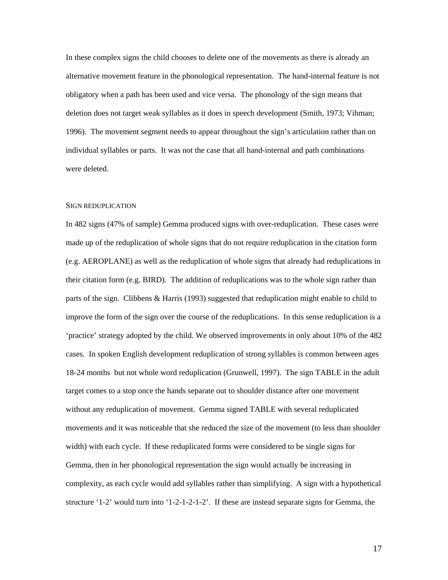In these complex signs the child chooses to delete one of the movements as there is already an alternative movement feature in the phonological representation. The hand-internal feature is not obligatory when a path has been used and vice versa. The phonology of the sign means that deletion does not target weak syllables as it does in speech development (Smith, 1973; Vihman; 1996). The movement segment needs to appear throughout the sign's articulation rather than on individual syllables or parts. It was not the case that all hand-internal and path combinations were deleted.

#### SIGN REDUPLICATION

In 482 signs (47% of sample) Gemma produced signs with over-reduplication. These cases were made up of the reduplication of whole signs that do not require reduplication in the citation form (e.g. AEROPLANE) as well as the reduplication of whole signs that already had reduplications in their citation form (e.g. BIRD). The addition of reduplications was to the whole sign rather than parts of the sign. Clibbens & Harris (1993) suggested that reduplication might enable to child to improve the form of the sign over the course of the reduplications. In this sense reduplication is a 'practice' strategy adopted by the child. We observed improvements in only about 10% of the 482 cases. In spoken English development reduplication of strong syllables is common between ages 18-24 months but not whole word reduplication (Grunwell, 1997). The sign TABLE in the adult target comes to a stop once the hands separate out to shoulder distance after one movement without any reduplication of movement. Gemma signed TABLE with several reduplicated movements and it was noticeable that she reduced the size of the movement (to less than shoulder width) with each cycle. If these reduplicated forms were considered to be single signs for Gemma, then in her phonological representation the sign would actually be increasing in complexity, as each cycle would add syllables rather than simplifying. A sign with a hypothetical structure '1-2' would turn into '1-2-1-2-1-2'. If these are instead separate signs for Gemma, the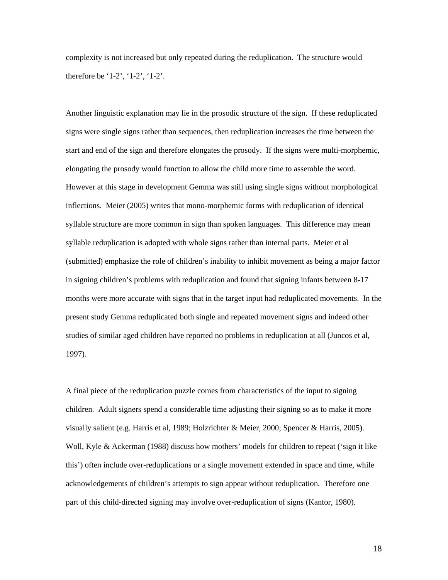complexity is not increased but only repeated during the reduplication. The structure would therefore be '1-2', '1-2', '1-2'.

Another linguistic explanation may lie in the prosodic structure of the sign. If these reduplicated signs were single signs rather than sequences, then reduplication increases the time between the start and end of the sign and therefore elongates the prosody. If the signs were multi-morphemic, elongating the prosody would function to allow the child more time to assemble the word. However at this stage in development Gemma was still using single signs without morphological inflections. Meier (2005) writes that mono-morphemic forms with reduplication of identical syllable structure are more common in sign than spoken languages. This difference may mean syllable reduplication is adopted with whole signs rather than internal parts. Meier et al (submitted) emphasize the role of children's inability to inhibit movement as being a major factor in signing children's problems with reduplication and found that signing infants between 8-17 months were more accurate with signs that in the target input had reduplicated movements. In the present study Gemma reduplicated both single and repeated movement signs and indeed other studies of similar aged children have reported no problems in reduplication at all (Juncos et al, 1997).

A final piece of the reduplication puzzle comes from characteristics of the input to signing children. Adult signers spend a considerable time adjusting their signing so as to make it more visually salient (e.g. Harris et al, 1989; Holzrichter & Meier, 2000; Spencer & Harris, 2005). Woll, Kyle & Ackerman (1988) discuss how mothers' models for children to repeat ('sign it like this') often include over-reduplications or a single movement extended in space and time, while acknowledgements of children's attempts to sign appear without reduplication. Therefore one part of this child-directed signing may involve over-reduplication of signs (Kantor, 1980).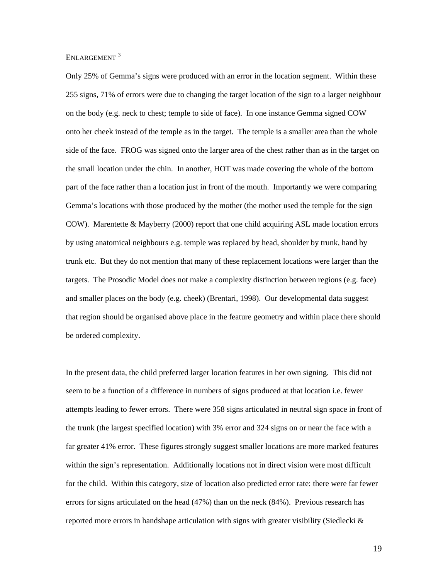ENLARGEMENT<sup>[3](#page-41-1)</sup>

Only 25% of Gemma's signs were produced with an error in the location segment. Within these 255 signs, 71% of errors were due to changing the target location of the sign to a larger neighbour on the body (e.g. neck to chest; temple to side of face). In one instance Gemma signed COW onto her cheek instead of the temple as in the target. The temple is a smaller area than the whole side of the face. FROG was signed onto the larger area of the chest rather than as in the target on the small location under the chin. In another, HOT was made covering the whole of the bottom part of the face rather than a location just in front of the mouth. Importantly we were comparing Gemma's locations with those produced by the mother (the mother used the temple for the sign COW). Marentette & Mayberry (2000) report that one child acquiring ASL made location errors by using anatomical neighbours e.g. temple was replaced by head, shoulder by trunk, hand by trunk etc. But they do not mention that many of these replacement locations were larger than the targets. The Prosodic Model does not make a complexity distinction between regions (e.g. face) and smaller places on the body (e.g. cheek) (Brentari, 1998). Our developmental data suggest that region should be organised above place in the feature geometry and within place there should be ordered complexity.

In the present data, the child preferred larger location features in her own signing. This did not seem to be a function of a difference in numbers of signs produced at that location i.e. fewer attempts leading to fewer errors. There were 358 signs articulated in neutral sign space in front of the trunk (the largest specified location) with 3% error and 324 signs on or near the face with a far greater 41% error. These figures strongly suggest smaller locations are more marked features within the sign's representation. Additionally locations not in direct vision were most difficult for the child. Within this category, size of location also predicted error rate: there were far fewer errors for signs articulated on the head (47%) than on the neck (84%). Previous research has reported more errors in handshape articulation with signs with greater visibility (Siedlecki  $\&$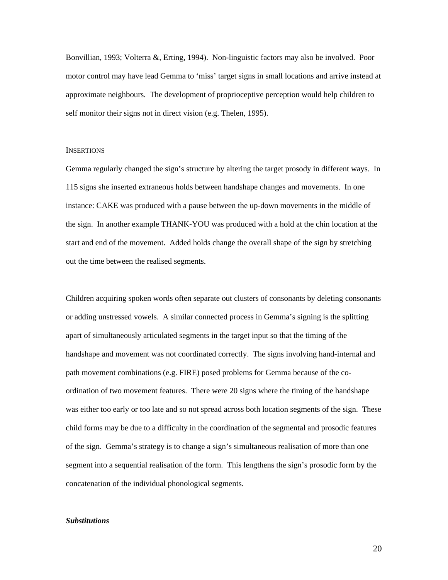Bonvillian, 1993; Volterra &, Erting, 1994). Non-linguistic factors may also be involved. Poor motor control may have lead Gemma to 'miss' target signs in small locations and arrive instead at approximate neighbours. The development of proprioceptive perception would help children to self monitor their signs not in direct vision (e.g. Thelen, 1995).

#### **INSERTIONS**

Gemma regularly changed the sign's structure by altering the target prosody in different ways. In 115 signs she inserted extraneous holds between handshape changes and movements. In one instance: CAKE was produced with a pause between the up-down movements in the middle of the sign. In another example THANK-YOU was produced with a hold at the chin location at the start and end of the movement. Added holds change the overall shape of the sign by stretching out the time between the realised segments.

Children acquiring spoken words often separate out clusters of consonants by deleting consonants or adding unstressed vowels. A similar connected process in Gemma's signing is the splitting apart of simultaneously articulated segments in the target input so that the timing of the handshape and movement was not coordinated correctly. The signs involving hand-internal and path movement combinations (e.g. FIRE) posed problems for Gemma because of the coordination of two movement features. There were 20 signs where the timing of the handshape was either too early or too late and so not spread across both location segments of the sign. These child forms may be due to a difficulty in the coordination of the segmental and prosodic features of the sign. Gemma's strategy is to change a sign's simultaneous realisation of more than one segment into a sequential realisation of the form. This lengthens the sign's prosodic form by the concatenation of the individual phonological segments.

#### *Substitutions*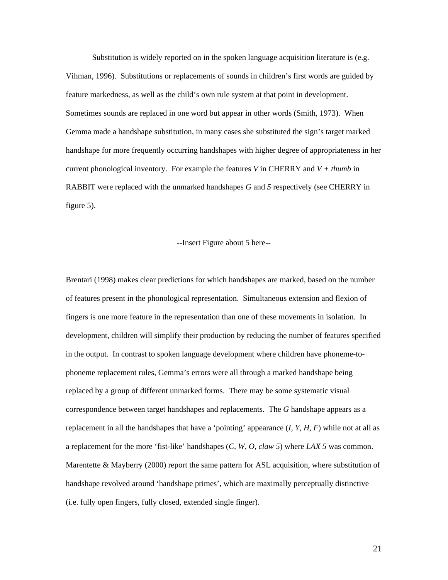Substitution is widely reported on in the spoken language acquisition literature is (e.g. Vihman, 1996). Substitutions or replacements of sounds in children's first words are guided by feature markedness, as well as the child's own rule system at that point in development. Sometimes sounds are replaced in one word but appear in other words (Smith, 1973). When Gemma made a handshape substitution, in many cases she substituted the sign's target marked handshape for more frequently occurring handshapes with higher degree of appropriateness in her current phonological inventory. For example the features *V* in CHERRY and *V + thumb* in RABBIT were replaced with the unmarked handshapes *G* and *5* respectively (see CHERRY in figure 5).

#### --Insert Figure about 5 here--

Brentari (1998) makes clear predictions for which handshapes are marked, based on the number of features present in the phonological representation. Simultaneous extension and flexion of fingers is one more feature in the representation than one of these movements in isolation. In development, children will simplify their production by reducing the number of features specified in the output. In contrast to spoken language development where children have phoneme-tophoneme replacement rules, Gemma's errors were all through a marked handshape being replaced by a group of different unmarked forms. There may be some systematic visual correspondence between target handshapes and replacements. The *G* handshape appears as a replacement in all the handshapes that have a 'pointing' appearance (*I, Y, H, F*) while not at all as a replacement for the more 'fist-like' handshapes (*C, W, O, claw 5*) where *LAX 5* was common. Marentette & Mayberry (2000) report the same pattern for ASL acquisition, where substitution of handshape revolved around 'handshape primes', which are maximally perceptually distinctive (i.e. fully open fingers, fully closed, extended single finger).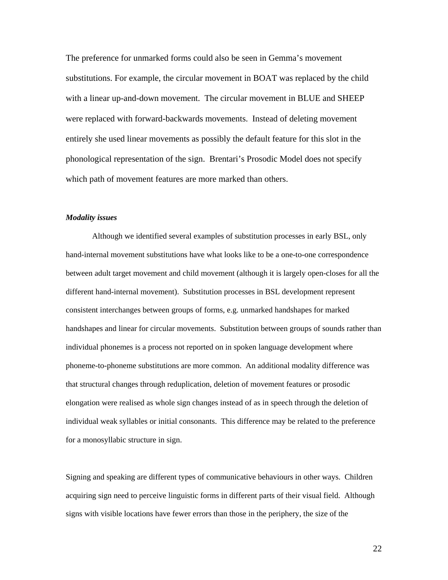The preference for unmarked forms could also be seen in Gemma's movement substitutions. For example, the circular movement in BOAT was replaced by the child with a linear up-and-down movement. The circular movement in BLUE and SHEEP were replaced with forward-backwards movements. Instead of deleting movement entirely she used linear movements as possibly the default feature for this slot in the phonological representation of the sign. Brentari's Prosodic Model does not specify which path of movement features are more marked than others.

## *Modality issues*

Although we identified several examples of substitution processes in early BSL, only hand-internal movement substitutions have what looks like to be a one-to-one correspondence between adult target movement and child movement (although it is largely open-closes for all the different hand-internal movement). Substitution processes in BSL development represent consistent interchanges between groups of forms, e.g. unmarked handshapes for marked handshapes and linear for circular movements. Substitution between groups of sounds rather than individual phonemes is a process not reported on in spoken language development where phoneme-to-phoneme substitutions are more common. An additional modality difference was that structural changes through reduplication, deletion of movement features or prosodic elongation were realised as whole sign changes instead of as in speech through the deletion of individual weak syllables or initial consonants. This difference may be related to the preference for a monosyllabic structure in sign.

Signing and speaking are different types of communicative behaviours in other ways. Children acquiring sign need to perceive linguistic forms in different parts of their visual field. Although signs with visible locations have fewer errors than those in the periphery, the size of the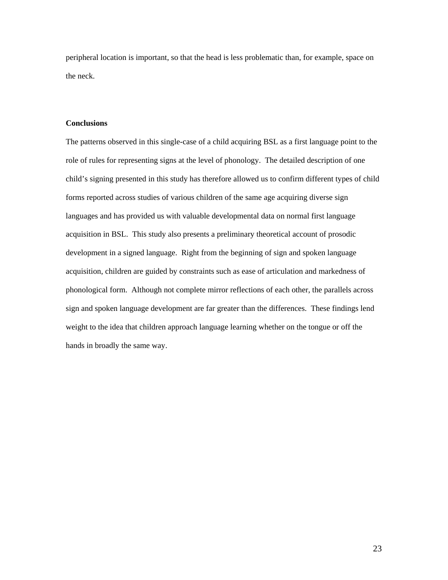peripheral location is important, so that the head is less problematic than, for example, space on the neck.

## **Conclusions**

The patterns observed in this single-case of a child acquiring BSL as a first language point to the role of rules for representing signs at the level of phonology. The detailed description of one child's signing presented in this study has therefore allowed us to confirm different types of child forms reported across studies of various children of the same age acquiring diverse sign languages and has provided us with valuable developmental data on normal first language acquisition in BSL. This study also presents a preliminary theoretical account of prosodic development in a signed language. Right from the beginning of sign and spoken language acquisition, children are guided by constraints such as ease of articulation and markedness of phonological form. Although not complete mirror reflections of each other, the parallels across sign and spoken language development are far greater than the differences. These findings lend weight to the idea that children approach language learning whether on the tongue or off the hands in broadly the same way.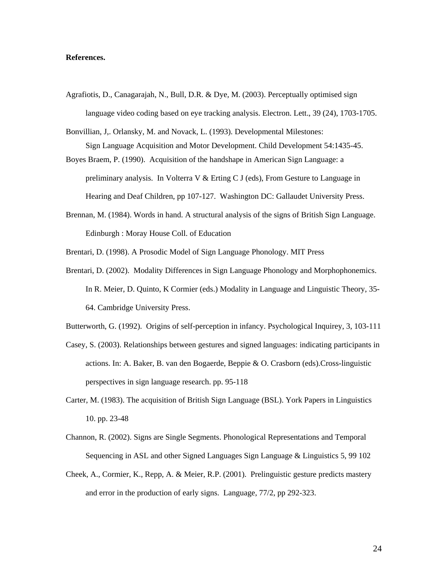#### **References.**

- Agrafiotis, D., Canagarajah, N., Bull, D.R. & Dye, M. (2003). Perceptually optimised sign language video coding based on eye tracking analysis. Electron. Lett., 39 (24), 1703-1705.
- Bonvillian, J,. Orlansky, M. and Novack, L. (1993). Developmental Milestones: Sign Language Acquisition and Motor Development. Child Development 54:1435-45.
- Boyes Braem, P. (1990). Acquisition of the handshape in American Sign Language: a preliminary analysis. In Volterra V & Erting C J (eds), From Gesture to Language in Hearing and Deaf Children, pp 107-127. Washington DC: Gallaudet University Press.
- Brennan, M. (1984). Words in hand. A structural analysis of the signs of British Sign Language. Edinburgh : Moray House Coll. of Education
- Brentari, D. (1998). A Prosodic Model of Sign Language Phonology. MIT Press
- Brentari, D. (2002). Modality Differences in Sign Language Phonology and Morphophonemics. In R. Meier, D. Quinto, K Cormier (eds.) Modality in Language and Linguistic Theory, 35- 64. Cambridge University Press.

Butterworth, G. (1992). Origins of self-perception in infancy. Psychological Inquirey, 3, 103-111

- Casey, S. (2003). Relationships between gestures and signed languages: indicating participants in actions. In: A. Baker, B. van den Bogaerde, Beppie & O. Crasborn (eds).Cross-linguistic perspectives in sign language research. pp. 95-118
- Carter, M. (1983). The acquisition of British Sign Language (BSL). York Papers in Linguistics 10. pp. 23-48
- Channon, R. (2002). Signs are Single Segments. Phonological Representations and Temporal Sequencing in ASL and other Signed Languages Sign Language & Linguistics 5, 99 102
- Cheek, A., Cormier, K., Repp, A. & Meier, R.P. (2001). Prelinguistic gesture predicts mastery and error in the production of early signs. Language, 77/2, pp 292-323.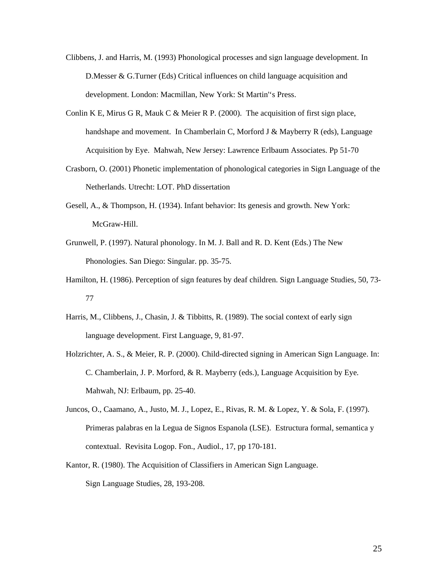- Clibbens, J. and Harris, M. (1993) Phonological processes and sign language development. In D.Messer & G.Turner (Eds) Critical influences on child language acquisition and development. London: Macmillan, New York: St Martin''s Press.
- Conlin K E, Mirus G R, Mauk C & Meier R P. (2000). The acquisition of first sign place, handshape and movement. In Chamberlain C, Morford J & Mayberry R (eds), Language Acquisition by Eye. Mahwah, New Jersey: Lawrence Erlbaum Associates. Pp 51-70
- Crasborn, O. (2001) Phonetic implementation of phonological categories in Sign Language of the Netherlands. Utrecht: LOT. PhD dissertation
- Gesell, A., & Thompson, H. (1934). Infant behavior: Its genesis and growth. New York: McGraw-Hill.
- Grunwell, P. (1997). Natural phonology. In M. J. Ball and R. D. Kent (Eds.) The New Phonologies. San Diego: Singular. pp. 35-75.
- Hamilton, H. (1986). Perception of sign features by deaf children. Sign Language Studies, 50, 73- 77
- Harris, M., Clibbens, J., Chasin, J. & Tibbitts, R. (1989). The social context of early sign language development. First Language, 9, 81-97.
- Holzrichter, A. S., & Meier, R. P. (2000). Child-directed signing in American Sign Language. In: C. Chamberlain, J. P. Morford, & R. Mayberry (eds.), Language Acquisition by Eye*.* Mahwah, NJ: Erlbaum, pp. 25-40.
- Juncos, O., Caamano, A., Justo, M. J., Lopez, E., Rivas, R. M. & Lopez, Y. & Sola, F. (1997). Primeras palabras en la Legua de Signos Espanola (LSE). Estructura formal, semantica y contextual. Revisita Logop. Fon., Audiol., 17, pp 170-181.
- Kantor, R. (1980). The Acquisition of Classifiers in American Sign Language. Sign Language Studies, 28, 193-208.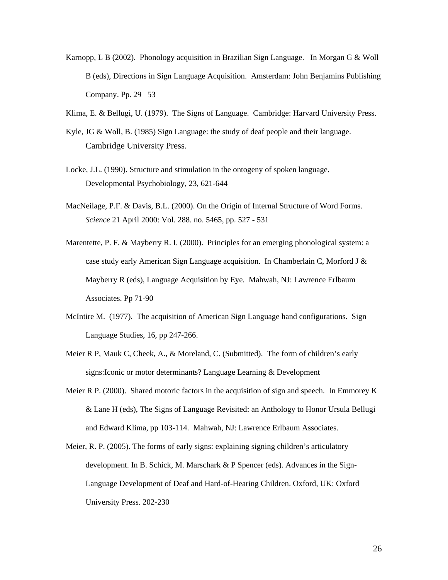- Karnopp, L B (2002). Phonology acquisition in Brazilian Sign Language. In Morgan G & Woll B (eds), Directions in Sign Language Acquisition. Amsterdam: John Benjamins Publishing Company. Pp. 29 53
- Klima, E. & Bellugi, U. (1979). The Signs of Language. Cambridge: Harvard University Press.
- Kyle, JG & Woll, B. (1985) Sign Language: the study of deaf people and their language. Cambridge University Press.
- Locke, J.L. (1990). Structure and stimulation in the ontogeny of spoken language. Developmental Psychobiology, 23, 621-644
- MacNeilage, P.F. & Davis, B.L. (2000). On the Origin of Internal Structure of Word Forms. *Science* 21 April 2000: Vol. 288. no. 5465, pp. 527 - 531
- Marentette, P. F. & Mayberry R. I. (2000). Principles for an emerging phonological system: a case study early American Sign Language acquisition. In Chamberlain C, Morford J & Mayberry R (eds), Language Acquisition by Eye. Mahwah, NJ: Lawrence Erlbaum Associates. Pp 71-90
- McIntire M. (1977). The acquisition of American Sign Language hand configurations. Sign Language Studies, 16, pp 247-266.
- Meier R P, Mauk C, Cheek, A., & Moreland, C. (Submitted). The form of children's early signs:Iconic or motor determinants? Language Learning & Development
- Meier R P. (2000). Shared motoric factors in the acquisition of sign and speech. In Emmorey K & Lane H (eds), The Signs of Language Revisited: an Anthology to Honor Ursula Bellugi and Edward Klima, pp 103-114. Mahwah, NJ: Lawrence Erlbaum Associates.
- Meier, R. P. (2005). The forms of early signs: explaining signing children's articulatory development. In B. Schick, M. Marschark & P Spencer (eds). Advances in the Sign-Language Development of Deaf and Hard-of-Hearing Children. Oxford, UK: Oxford University Press. 202-230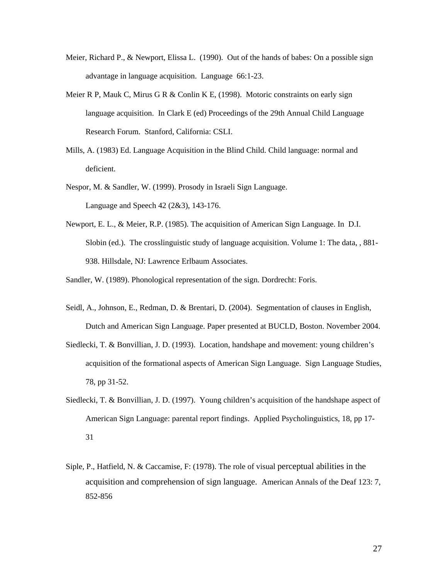- Meier, Richard P., & Newport, Elissa L. (1990). Out of the hands of babes: On a possible sign advantage in language acquisition. Language 66:1-23.
- Meier R P, Mauk C, Mirus G R & Conlin K E,  $(1998)$ . Motoric constraints on early sign language acquisition. In Clark E (ed) Proceedings of the 29th Annual Child Language Research Forum. Stanford, California: CSLI.
- Mills, A. (1983) Ed. Language Acquisition in the Blind Child. Child language: normal and deficient.
- Nespor, M. & Sandler, W. (1999). Prosody in Israeli Sign Language. Language and Speech 42 (2&3), 143-176.
- Newport, E. L., & Meier, R.P. (1985). The acquisition of American Sign Language. In D.I. Slobin (ed.). The crosslinguistic study of language acquisition. Volume 1: The data, , 881- 938. Hillsdale, NJ: Lawrence Erlbaum Associates.

Sandler, W. (1989). Phonological representation of the sign. Dordrecht: Foris.

- Seidl, A., Johnson, E., Redman, D. & Brentari, D. (2004). Segmentation of clauses in English, Dutch and American Sign Language. Paper presented at BUCLD, Boston. November 2004.
- Siedlecki, T. & Bonvillian, J. D. (1993). Location, handshape and movement: young children's acquisition of the formational aspects of American Sign Language. Sign Language Studies, 78, pp 31-52.
- Siedlecki, T. & Bonvillian, J. D. (1997). Young children's acquisition of the handshape aspect of American Sign Language: parental report findings. Applied Psycholinguistics, 18, pp 17- 31
- Siple, P., Hatfield, N. & Caccamise, F: (1978). The role of visual perceptual abilities in the acquisition and comprehension of sign language. American Annals of the Deaf 123: 7, 852-856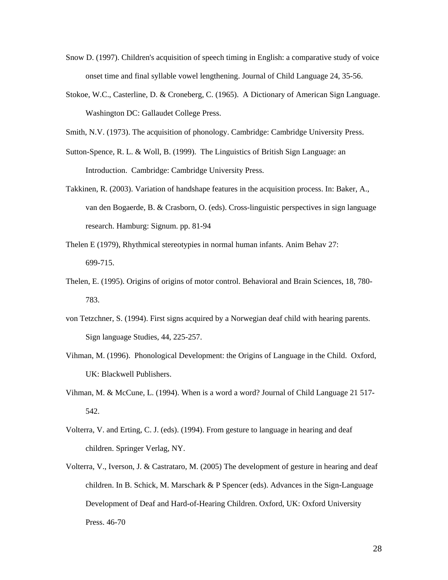- Snow D. (1997). Children's acquisition of speech timing in English: a comparative study of voice onset time and final syllable vowel lengthening. Journal of Child Language 24, 35-56.
- Stokoe, W.C., Casterline, D. & Croneberg, C. (1965). A Dictionary of American Sign Language. Washington DC: Gallaudet College Press.
- Smith, N.V. (1973). The acquisition of phonology. Cambridge: Cambridge University Press.
- Sutton-Spence, R. L. & Woll, B. (1999). The Linguistics of British Sign Language: an Introduction. Cambridge: Cambridge University Press.
- Takkinen, R. (2003). Variation of handshape features in the acquisition process. In: Baker, A., van den Bogaerde, B. & Crasborn, O. (eds). Cross-linguistic perspectives in sign language research. Hamburg: Signum. pp. 81-94
- Thelen E (1979), Rhythmical stereotypies in normal human infants. Anim Behav 27: 699-715.
- Thelen, E. (1995). Origins of origins of motor control. Behavioral and Brain Sciences, 18, 780- 783.
- von Tetzchner, S. (1994). First signs acquired by a Norwegian deaf child with hearing parents. Sign language Studies, 44, 225-257.
- Vihman, M. (1996). Phonological Development: the Origins of Language in the Child. Oxford, UK: Blackwell Publishers.
- Vihman, M. & McCune, L. (1994). When is a word a word? Journal of Child Language 21 517- 542.
- Volterra, V. and Erting, C. J. (eds). (1994). From gesture to language in hearing and deaf children. Springer Verlag, NY.
- Volterra, V., Iverson, J. & Castrataro, M. (2005) The development of gesture in hearing and deaf children. In B. Schick, M. Marschark & P Spencer (eds). Advances in the Sign-Language Development of Deaf and Hard-of-Hearing Children. Oxford, UK: Oxford University Press. 46-70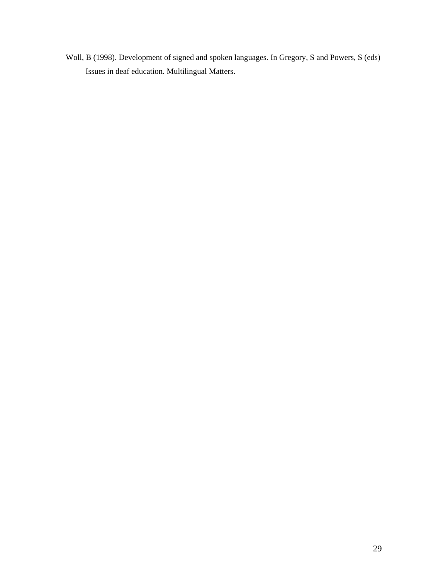Woll, B (1998). Development of signed and spoken languages. In Gregory, S and Powers, S (eds) Issues in deaf education. Multilingual Matters.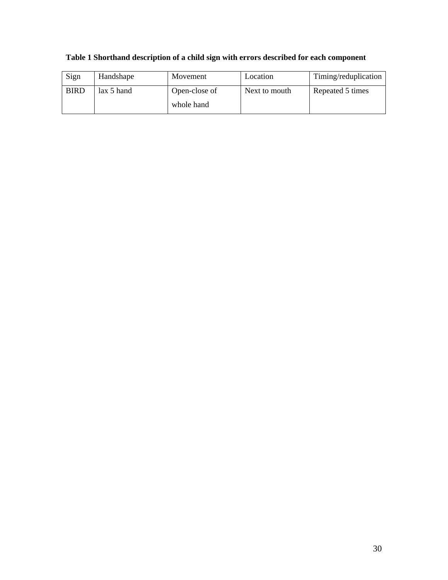| Sign        | Handshape    | Movement      | Location      | Timing/reduplication |
|-------------|--------------|---------------|---------------|----------------------|
| <b>BIRD</b> | $lax 5$ hand | Open-close of | Next to mouth | Repeated 5 times     |
|             |              | whole hand    |               |                      |

# **Table 1 Shorthand description of a child sign with errors described for each component**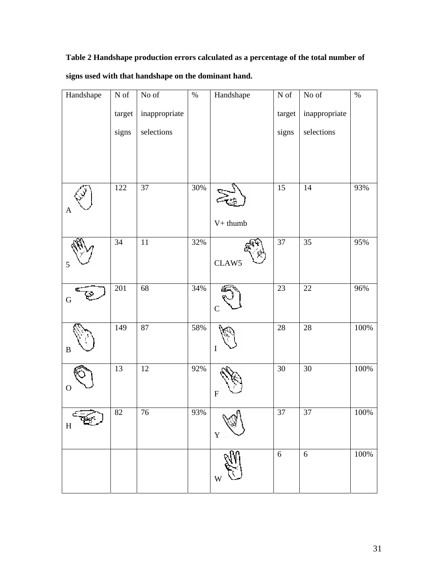**Table 2 Handshape production errors calculated as a percentage of the total number of signs used with that handshape on the dominant hand.** 

| Handshape    | ${\bf N}$ of    | No of         | $\%$ | Handshape                 | ${\bf N}$ of    | No of           | $\%$    |
|--------------|-----------------|---------------|------|---------------------------|-----------------|-----------------|---------|
|              | target          | inappropriate |      |                           | target          | inappropriate   |         |
|              | signs           | selections    |      |                           | signs           | selections      |         |
|              |                 |               |      |                           |                 |                 |         |
|              |                 |               |      |                           |                 |                 |         |
| A            | 122             | 37            | 30%  |                           | 15              | 14              | 93%     |
|              |                 |               |      | $V+$ thumb                |                 |                 |         |
|              | 34              | $11\,$        | 32%  | CLAW5                     | 37              | 35              | 95%     |
| 5            |                 |               |      |                           |                 |                 |         |
| ${\bf G}$    | 201             | 68            | 34%  | $\mathbf C$               | 23              | $22\,$          | 96%     |
| $\, {\bf B}$ | 149             | $87\,$        | 58%  | I                         | $28\,$          | $28\,$          | $100\%$ |
| $\rm{O}$     | $\overline{13}$ | 12            | 92%  | $\boldsymbol{\mathrm{F}}$ | $\overline{30}$ | $\overline{30}$ | 100%    |
| H            | $82\,$          | 76            | 93%  | ألصم<br>$\mathbf Y$       | 37              | 37              | $100\%$ |
|              |                 |               |      | W                         | $\sqrt{6}$      | 6               | 100%    |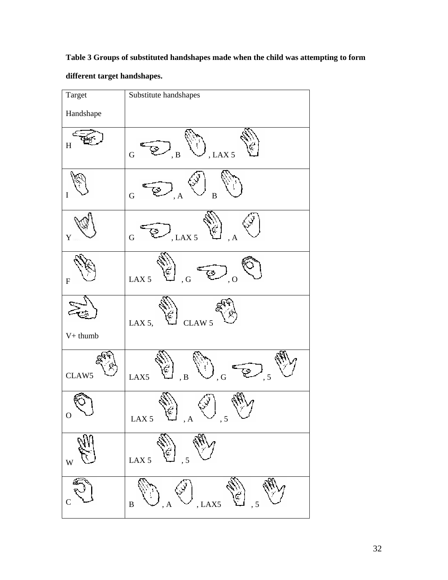**Table 3 Groups of substituted handshapes made when the child was attempting to form** 

**different target handshapes.** 

| Target      | Substitute handshapes                       |
|-------------|---------------------------------------------|
| Handshape   |                                             |
| H           | , LAX $5$<br>${\bf G}$<br>B                 |
| $\bf I$     | $\mathbf{A}$<br>${\bf G}$<br>$\bf{B}$       |
| Y           | Ç<br>LAX <sub>5</sub><br>, A<br>$\mathbf G$ |
| ${\bf F}$   | LAX <sub>5</sub><br>, G<br>, 0              |
| $V+$ thumb  | CLAW 5<br>LAX 5,                            |
| CLAW5       | LAX5<br>, 5<br>, ${\bf B}$<br>, ${\bf G}$   |
| $\mathbf 0$ | LAX 5 $\mathbb{C}$ , A $\vee$ , 5           |
| W           | LAX <sub>5</sub><br>5                       |
| C           | , LAX5<br>, 5<br>$\, {\bf B}$<br>, A        |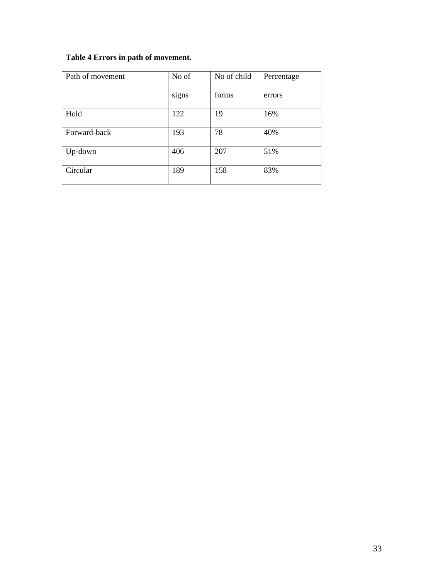# **Table 4 Errors in path of movement.**

| Path of movement | No of | No of child | Percentage |
|------------------|-------|-------------|------------|
|                  | signs | forms       | errors     |
| Hold             | 122   | 19          | 16%        |
| Forward-back     | 193   | 78          | 40%        |
| Up-down          | 406   | 207         | 51%        |
| Circular         | 189   | 158         | 83%        |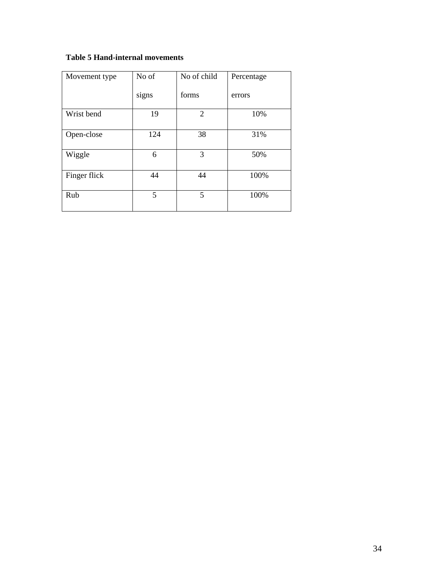# **Table 5 Hand-internal movements**

| Movement type | No of | No of child    | Percentage |
|---------------|-------|----------------|------------|
|               | signs | forms          | errors     |
| Wrist bend    | 19    | $\overline{2}$ | 10%        |
| Open-close    | 124   | 38             | 31%        |
| Wiggle        | 6     | 3              | 50%        |
| Finger flick  | 44    | 44             | 100%       |
| Rub           | 5     | 5              | 100%       |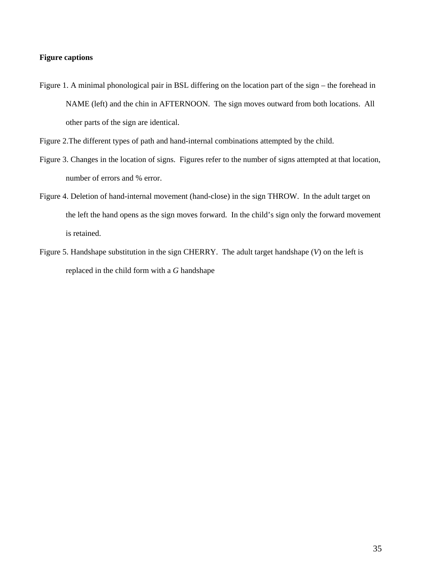## **Figure captions**

Figure 1. A minimal phonological pair in BSL differing on the location part of the sign – the forehead in NAME (left) and the chin in AFTERNOON. The sign moves outward from both locations. All other parts of the sign are identical.

- Figure 3. Changes in the location of signs. Figures refer to the number of signs attempted at that location, number of errors and % error.
- Figure 4. Deletion of hand-internal movement (hand-close) in the sign THROW. In the adult target on the left the hand opens as the sign moves forward. In the child's sign only the forward movement is retained.
- Figure 5. Handshape substitution in the sign CHERRY. The adult target handshape (*V*) on the left is replaced in the child form with a *G* handshape

Figure 2.The different types of path and hand-internal combinations attempted by the child.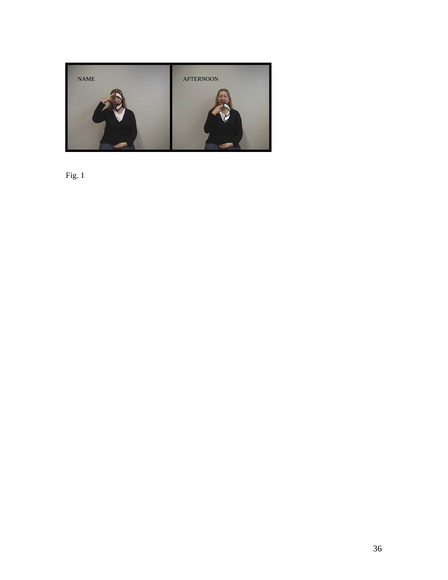

Fig. 1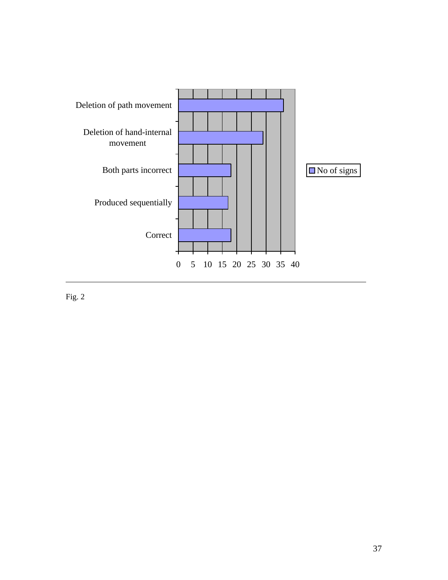

Fig. 2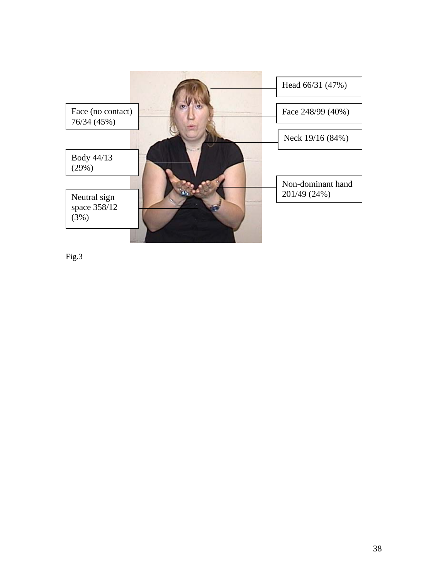

Fig.3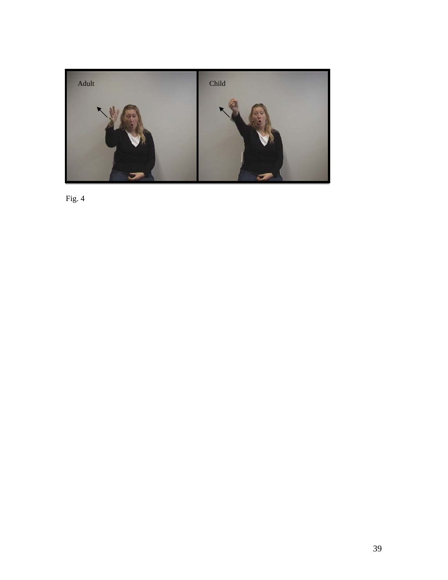

Fig. 4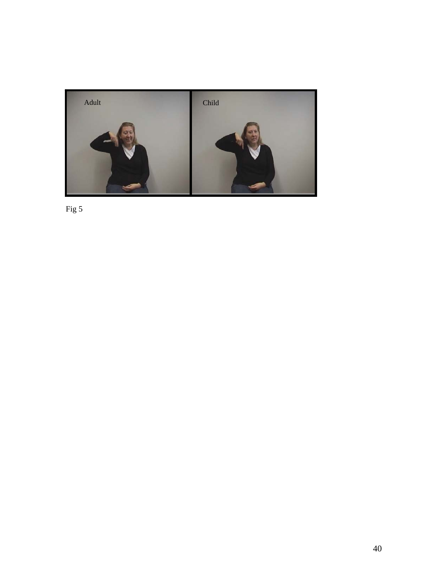